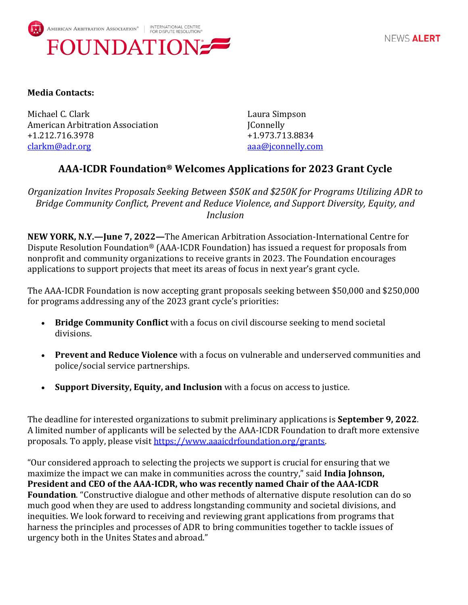

## **Media Contacts:**

Michael C. Clark **Laura Simpson** American Arbitration Association **Franchise Strutter and American Arbitration** Association +1.212.716.3978 +1.973.713.8834 [clarkm@adr.org](mailto:clarkm@adr.org) [aaa@jconnelly.com](mailto:aaa@jconnelly.com)

## **AAA-ICDR Foundation® Welcomes Applications for 2023 Grant Cycle**

*Organization Invites Proposals Seeking Between \$50K and \$250K for Programs Utilizing ADR to Bridge Community Conflict, Prevent and Reduce Violence, and Support Diversity, Equity, and Inclusion*

**NEW YORK, N.Y.—June 7, 2022—**The American Arbitration Association-International Centre for Dispute Resolution Foundation® (AAA-ICDR Foundation) has issued a request for proposals from nonprofit and community organizations to receive grants in 2023. The Foundation encourages applications to support projects that meet its areas of focus in next year's grant cycle.

The AAA-ICDR Foundation is now accepting grant proposals seeking between \$50,000 and \$250,000 for programs addressing any of the 2023 grant cycle's priorities:

- **Bridge Community Conflict** with a focus on civil discourse seeking to mend societal divisions.
- **Prevent and Reduce Violence** with a focus on vulnerable and underserved communities and police/social service partnerships.
- **Support Diversity, Equity, and Inclusion** with a focus on access to justice.

The deadline for interested organizations to submit preliminary applications is **September 9, 2022**. A limited number of applicants will be selected by the AAA-ICDR Foundation to draft more extensive proposals. To apply, please visit https://www.aaaicdrfoundation.org/grants.

"Our considered approach to selecting the projects we support is crucial for ensuring that we maximize the impact we can make in communities across the country," said **India Johnson, President and CEO of the AAA-ICDR, who was recently named Chair of the AAA-ICDR Foundation**. "Constructive dialogue and other methods of alternative dispute resolution can do so much good when they are used to address longstanding community and societal divisions, and inequities. We look forward to receiving and reviewing grant applications from programs that harness the principles and processes of ADR to bring communities together to tackle issues of urgency both in the Unites States and abroad."